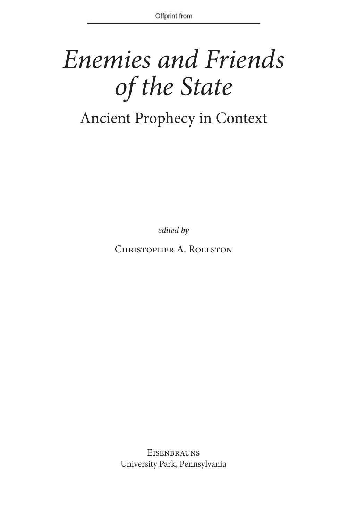# Enemies and Friends of the State

Ancient Prophecy in Context

edited by

Christopher A. Rollston

**EISENBRAUNS** University Park, Pennsylvania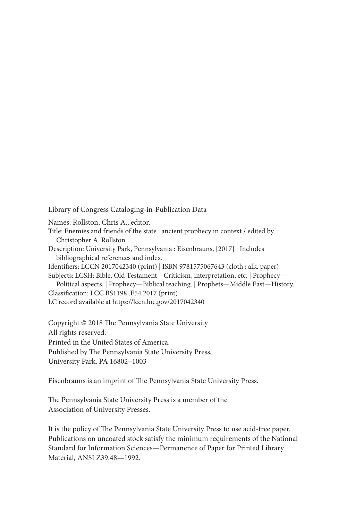Library of Congress Cataloging-in-Publication Data

Names: Rollston, Chris A., editor. Title: Enemies and friends of the state : ancient prophecy in context / edited by Christopher A. Rollston. Description: University Park, Pennsylvania : Eisenbrauns, [2017] | Includes bibliographical references and index. Identifiers: LCCN 2017042340 (print) | ISBN 9781575067643 (cloth : alk. paper) Subjects: LCSH: Bible. Old Testament—Criticism, interpretation, etc. | Prophecy— Political aspects. | Prophecy—Biblical teaching. | Prophets—Middle East—History. Classification: LCC BS1198 .E54 2017 (print) LC record available at https://lccn.loc.gov/2017042340

Copyright © 2018 The Pennsylvania State University All rights reserved. Printed in the United States of America. Published by The Pennsylvania State University Press,

University Park, PA 16802–1003

Eisenbrauns is an imprint of The Pennsylvania State University Press.

The Pennsylvania State University Press is a member of the Association of University Presses.

It is the policy of The Pennsylvania State University Press to use acid-free paper. Publications on uncoated stock satisfy the minimum requirements of the National Standard for Information Sciences—Permanence of Paper for Printed Library Material, ANSI Z39.48—1992.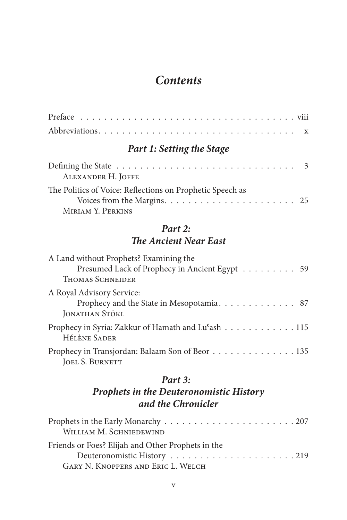# **Contents**

| Part 1: Setting the Stage                                                                                                 |  |
|---------------------------------------------------------------------------------------------------------------------------|--|
| Defining the State $\dots \dots \dots \dots \dots \dots \dots \dots \dots \dots \dots \dots$<br><b>ALEXANDER H. JOFFE</b> |  |
| The Politics of Voice: Reflections on Prophetic Speech as<br>MIRIAM Y. PERKINS                                            |  |
| Part 2:                                                                                                                   |  |

# **The Ancient Near East**

| A Land without Prophets? Examining the<br>Presumed Lack of Prophecy in Ancient Egypt 59<br><b>THOMAS SCHNEIDER</b> |
|--------------------------------------------------------------------------------------------------------------------|
| A Royal Advisory Service:<br>Prophecy and the State in Mesopotamia 87<br>JONATHAN STÖKL                            |
| Prophecy in Syria: Zakkur of Hamath and Lu <sup>c</sup> ash 115<br><b>HÉLÈNE SADER</b>                             |
| Prophecy in Transjordan: Balaam Son of Beor 135<br>JOEL S. BURNETT                                                 |

#### **Part 3:**

# **Prophets in the Deuteronomistic History and the Chronicler**

| WILLIAM M. SCHNIEDEWIND                           |  |
|---------------------------------------------------|--|
| Friends or Foes? Elijah and Other Prophets in the |  |
|                                                   |  |
| GARY N. KNOPPERS AND ERIC L. WELCH                |  |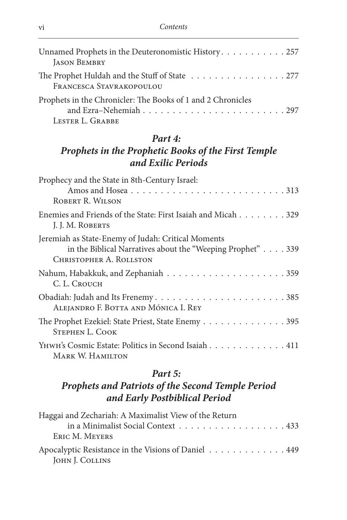| Unnamed Prophets in the Deuteronomistic History. 257                                                           |  |
|----------------------------------------------------------------------------------------------------------------|--|
| <b>JASON BEMBRY</b>                                                                                            |  |
| The Prophet Huldah and the Stuff of State $\ldots \ldots \ldots \ldots \ldots 277$<br>FRANCESCA STAVRAKOPOULOU |  |
| Prophets in the Chronicler: The Books of 1 and 2 Chronicles<br>LESTER L. GRABBE                                |  |

#### **Part 4:**

### **Prophets in the Prophetic Books of the First Temple and Exilic Periods**

| Prophecy and the State in 8th-Century Israel:<br>ROBERT R. WILSON                                                                           |
|---------------------------------------------------------------------------------------------------------------------------------------------|
| Enemies and Friends of the State: First Isaiah and Micah 329<br>J. J. M. ROBERTS                                                            |
| Jeremiah as State-Enemy of Judah: Critical Moments<br>in the Biblical Narratives about the "Weeping Prophet" 339<br>CHRISTOPHER A. ROLLSTON |
| C. L. Crouch                                                                                                                                |
| Obadiah: Judah and Its Frenemy385<br>ALEJANDRO F. BOTTA AND MÓNICA I. REY                                                                   |
| The Prophet Ezekiel: State Priest, State Enemy 395<br>STEPHEN L. COOK                                                                       |
| YHWH's Cosmic Estate: Politics in Second Isaiah 411<br>MARK W. HAMILTON                                                                     |

#### **Part 5:**

## **Prophets and Patriots of the Second Temple Period and Early Postbiblical Period**

| Haggai and Zechariah: A Maximalist View of the Return |  |
|-------------------------------------------------------|--|
| in a Minimalist Social Context 433                    |  |
| ERIC M. MEYERS                                        |  |
| Apocalyptic Resistance in the Visions of Daniel 449   |  |
| JOHN J. COLLINS                                       |  |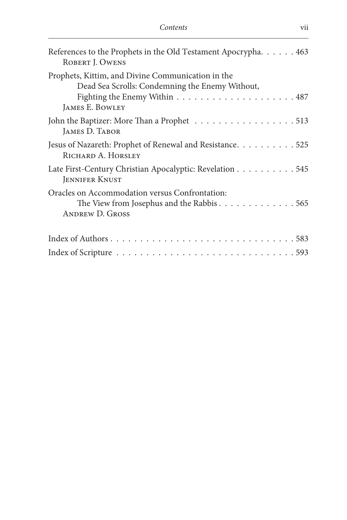| References to the Prophets in the Old Testament Apocrypha. 463<br>ROBERT J. OWENS                                                                          |
|------------------------------------------------------------------------------------------------------------------------------------------------------------|
| Prophets, Kittim, and Divine Communication in the<br>Dead Sea Scrolls: Condemning the Enemy Without,<br>JAMES E. BOWLEY                                    |
| John the Baptizer: More Than a Prophet 513<br>JAMES D. TABOR                                                                                               |
| Jesus of Nazareth: Prophet of Renewal and Resistance. 525<br>RICHARD A. HORSLEY                                                                            |
| Late First-Century Christian Apocalyptic: Revelation 545<br><b>JENNIFER KNUST</b>                                                                          |
| Oracles on Accommodation versus Confrontation:<br>The View from Josephus and the Rabbis $\ldots \ldots \ldots \ldots \ldots 565$<br><b>ANDREW D. GROSS</b> |
|                                                                                                                                                            |
|                                                                                                                                                            |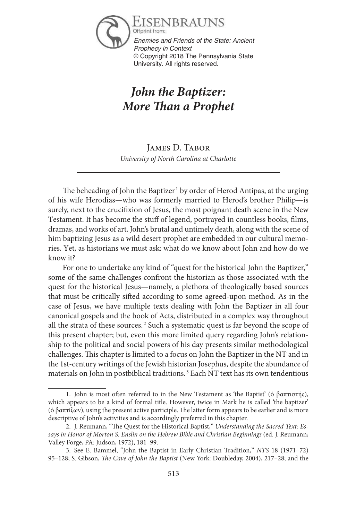

# **John the Baptizer: More Than a Prophet**

James D. Tabor University of North Carolina at Charlotte

The beheading of John the Baptizer<sup>1</sup> by order of Herod Antipas, at the urging of his wife Herodias—who was formerly married to Herod's brother Philip—is surely, next to the crucifixion of Jesus, the most poignant death scene in the New Testament. It has become the stuff of legend, portrayed in countless books, films, dramas, and works of art. John's brutal and untimely death, along with the scene of him baptizing Jesus as a wild desert prophet are embedded in our cultural memories. Yet, as historians we must ask: what do we know about John and how do we know it?

For one to undertake any kind of "quest for the historical John the Baptizer," some of the same challenges confront the historian as those associated with the quest for the historical Jesus—namely, a plethora of theologically based sources that must be critically sifted according to some agreed-upon method. As in the case of Jesus, we have multiple texts dealing with John the Baptizer in all four canonical gospels and the book of Acts, distributed in a complex way throughout all the strata of these sources.<sup>2</sup> Such a systematic quest is far beyond the scope of this present chapter; but, even this more limited query regarding John's relationship to the political and social powers of his day presents similar methodological challenges. This chapter is limited to a focus on John the Baptizer in the NT and in the 1st-century writings of the Jewish historian Josephus, despite the abundance of materials on John in postbiblical traditions.<sup>3</sup> Each NT text has its own tendentious

<sup>1.</sup> John is most often referred to in the New Testament as 'the Baptist' (ὁ βαπτιστής), which appears to be a kind of formal title. However, twice in Mark he is called 'the baptizer' (ὁ βαπτίζων), using the present active participle. The latter form appears to be earlier and is more descriptive of John's activities and is accordingly preferred in this chapter.

<sup>2.</sup> J. Reumann, "The Quest for the Historical Baptist," Understanding the Sacred Text: Essays in Honor of Morton S. Enslin on the Hebrew Bible and Christian Beginnings (ed. J. Reumann; Valley Forge, PA: Judson, 1972), 181–99.

<sup>3.</sup> See E. Bammel, "John the Baptist in Early Christian Tradition," NTS 18 (1971–72) 95–128; S. Gibson, The Cave of John the Baptist (New York: Doubleday, 2004), 217–28; and the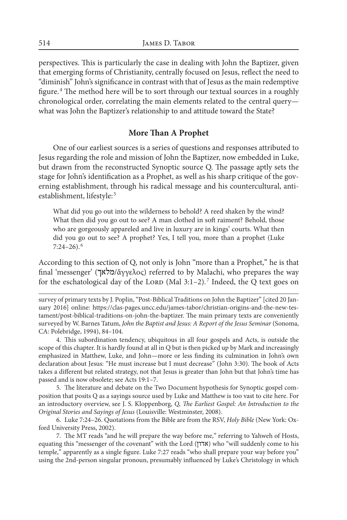perspectives. This is particularly the case in dealing with John the Baptizer, given that emerging forms of Christianity, centrally focused on Jesus, reflect the need to "diminish" John's significance in contrast with that of Jesus as the main redemptive figure.<sup>4</sup> The method here will be to sort through our textual sources in a roughly chronological order, correlating the main elements related to the central query what was John the Baptizer's relationship to and attitude toward the State?

#### **More Than A Prophet**

One of our earliest sources is a series of questions and responses attributed to Jesus regarding the role and mission of John the Baptizer, now embedded in Luke, but drawn from the reconstructed Synoptic source Q. The passage aptly sets the stage for John's identification as a Prophet, as well as his sharp critique of the governing establishment, through his radical message and his countercultural, antiestablishment, lifestyle:<sup>5</sup>

What did you go out into the wilderness to behold? A reed shaken by the wind? What then did you go out to see? A man clothed in soft raiment? Behold, those who are gorgeously appareled and live in luxury are in kings' courts. What then did you go out to see? A prophet? Yes, I tell you, more than a prophet (Luke 7:24–26).<sup>6</sup>

According to this section of Q, not only is John "more than a Prophet," he is that final 'messenger' (מלאך/ἄγγελος) referred to by Malachi, who prepares the way for the eschatological day of the LORD (Mal  $3:1-2$ ).<sup>7</sup> Indeed, the Q text goes on

4. This subordination tendency, ubiquitous in all four gospels and Acts, is outside the scope of this chapter. It is hardly found at all in Q but is then picked up by Mark and increasingly emphasized in Matthew, Luke, and John—more or less finding its culmination in John's own declaration about Jesus: "He must increase but I must decrease" (John 3:30). The book of Acts takes a different but related strategy, not that Jesus is greater than John but that John's time has passed and is now obsolete; see Acts 19:1–7.

5. The literature and debate on the Two Document hypothesis for Synoptic gospel composition that posits Q as a sayings source used by Luke and Matthew is too vast to cite here. For an introductory overview, see J. S. Kloppenborg, Q, The Earliest Gospel: An Introduction to the Original Stories and Sayings of Jesus (Louisville: Westminster, 2008).

6. Luke 7:24–26. Quotations from the Bible are from the RSV, Holy Bible (New York: Oxford University Press, 2002).

7. The MT reads "and he will prepare the way before me," referring to Yahweh of Hosts, equating this "messenger of the covenant" with the Lord (אדון) who "will suddenly come to his temple," apparently as a single figure. Luke 7:27 reads "who shall prepare your way before you" using the 2nd-person singular pronoun, presumably influenced by Luke's Christology in which

survey of primary texts by J. Poplin, "Post-Biblical Traditions on John the Baptizer" [cited 20 January 2016] online: https://clas-pages.uncc.edu/james-tabor/christian-origins-and-the-new-testament/post-biblical-traditions-on-john-the-baptizer. The main primary texts are conveniently surveyed by W. Barnes Tatum, John the Baptist and Jesus: A Report of the Jesus Seminar (Sonoma, CA: Polebridge, 1994), 84–104.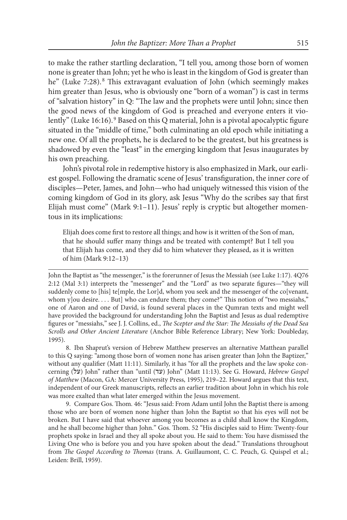to make the rather startling declaration, "I tell you, among those born of women none is greater than John; yet he who is least in the kingdom of God is greater than he" (Luke 7:28).<sup>8</sup> This extravagant evaluation of John (which seemingly makes him greater than Jesus, who is obviously one "born of a woman") is cast in terms of "salvation history" in Q: "The law and the prophets were until John; since then the good news of the kingdom of God is preached and everyone enters it violently" (Luke 16:16).<sup>9</sup> Based on this Q material, John is a pivotal apocalyptic figure situated in the "middle of time," both culminating an old epoch while initiating a new one. Of all the prophets, he is declared to be the greatest, but his greatness is shadowed by even the "least" in the emerging kingdom that Jesus inaugurates by his own preaching.

John's pivotal role in redemptive history is also emphasized in Mark, our earliest gospel. Following the dramatic scene of Jesus' transfiguration, the inner core of disciples—Peter, James, and John—who had uniquely witnessed this vision of the coming kingdom of God in its glory, ask Jesus "Why do the scribes say that first Elijah must come" (Mark 9:1–11). Jesus' reply is cryptic but altogether momentous in its implications:

Elijah does come first to restore all things; and how is it written of the Son of man, that he should suffer many things and be treated with contempt? But I tell you that Elijah has come, and they did to him whatever they pleased, as it is written of him (Mark 9:12–13)

8. Ibn Shaprut's version of Hebrew Matthew preserves an alternative Matthean parallel to this Q saying: "among those born of women none has arisen greater than John the Baptizer," without any qualifier (Matt 11:11). Similarly, it has "for all the prophets and the law spoke concerning (על) John" rather than "until (עד) John" (Matt 11:13). See G. Howard, Hebrew Gospel of Matthew (Macon, GA: Mercer University Press, 1995), 219–22. Howard argues that this text, independent of our Greek manuscripts, reflects an earlier tradition about John in which his role was more exalted than what later emerged within the Jesus movement.

9. Compare Gos. Thom. 46: "Jesus said: From Adam until John the Baptist there is among those who are born of women none higher than John the Baptist so that his eyes will not be broken. But I have said that whoever among you becomes as a child shall know the Kingdom, and he shall become higher than John." Gos. Thom. 52 "His disciples said to Him: Twenty-four prophets spoke in Israel and they all spoke about you. He said to them: You have dismissed the Living One who is before you and you have spoken about the dead." Translations throughout from The Gospel According to Thomas (trans. A. Guillaumont, C. C. Peuch, G. Quispel et al.; Leiden: Brill, 1959).

John the Baptist as "the messenger," is the forerunner of Jesus the Messiah (see Luke 1:17). 4Q76 2:12 (Mal 3:1) interprets the "messenger" and the "Lord" as two separate figures—"they will suddenly come to [his] te[mple, the Lor]d, whom you seek and the messenger of the co[venant, whom y]ou desire. . . . But] who can endure them; they come?" This notion of "two messiahs," one of Aaron and one of David, is found several places in the Qumran texts and might well have provided the background for understanding John the Baptist and Jesus as dual redemptive figures or "messiahs," see J. J. Collins, ed., The Scepter and the Star: The Messiahs of the Dead Sea Scrolls and Other Ancient Literature (Anchor Bible Reference Library; New York: Doubleday, 1995).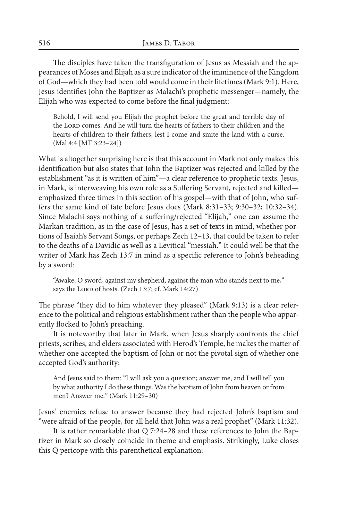The disciples have taken the transfiguration of Jesus as Messiah and the appearances of Moses and Elijah as a sure indicator of the imminence of the Kingdom of God—which they had been told would come in their lifetimes (Mark 9:1). Here, Jesus identifies John the Baptizer as Malachi's prophetic messenger—namely, the Elijah who was expected to come before the final judgment:

Behold, I will send you Elijah the prophet before the great and terrible day of the LORD comes. And he will turn the hearts of fathers to their children and the hearts of children to their fathers, lest I come and smite the land with a curse. (Mal 4:4 [MT 3:23–24])

What is altogether surprising here is that this account in Mark not only makes this identification but also states that John the Baptizer was rejected and killed by the establishment "as it is written of him"—a clear reference to prophetic texts. Jesus, in Mark, is interweaving his own role as a Suffering Servant, rejected and killed emphasized three times in this section of his gospel—with that of John, who suffers the same kind of fate before Jesus does (Mark 8:31–33; 9:30–32; 10:32–34). Since Malachi says nothing of a suffering/rejected "Elijah," one can assume the Markan tradition, as in the case of Jesus, has a set of texts in mind, whether portions of Isaiah's Servant Songs, or perhaps Zech 12–13, that could be taken to refer to the deaths of a Davidic as well as a Levitical "messiah." It could well be that the writer of Mark has Zech 13:7 in mind as a specific reference to John's beheading by a sword:

"Awake, O sword, against my shepherd, against the man who stands next to me," says the LORD of hosts. (Zech 13:7; cf. Mark 14:27)

The phrase "they did to him whatever they pleased" (Mark 9:13) is a clear reference to the political and religious establishment rather than the people who apparently flocked to John's preaching.

It is noteworthy that later in Mark, when Jesus sharply confronts the chief priests, scribes, and elders associated with Herod's Temple, he makes the matter of whether one accepted the baptism of John or not the pivotal sign of whether one accepted God's authority:

And Jesus said to them: "I will ask you a question; answer me, and I will tell you by what authority I do these things. Was the baptism of John from heaven or from men? Answer me." (Mark 11:29–30)

Jesus' enemies refuse to answer because they had rejected John's baptism and "were afraid of the people, for all held that John was a real prophet" (Mark 11:32).

It is rather remarkable that Q 7:24–28 and these references to John the Baptizer in Mark so closely coincide in theme and emphasis. Strikingly, Luke closes this Q pericope with this parenthetical explanation: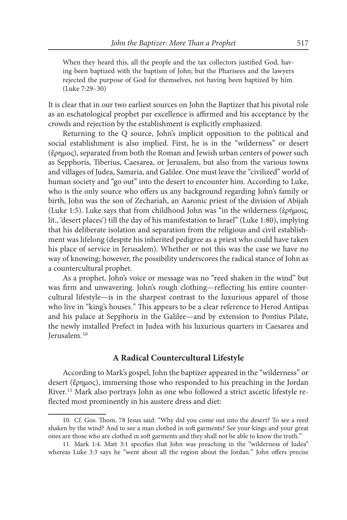When they heard this, all the people and the tax collectors justified God, having been baptized with the baptism of John; but the Pharisees and the lawyers rejected the purpose of God for themselves, not having been baptized by him. (Luke 7:29–30)

It is clear that in our two earliest sources on John the Baptizer that his pivotal role as an eschatological prophet par excellence is affirmed and his acceptance by the crowds and rejection by the establishment is explicitly emphasized.

Returning to the Q source, John's implicit opposition to the political and social establishment is also implied. First, he is in the "wilderness" or desert (ἔρημος), separated from both the Roman and Jewish urban centers of power such as Sepphoris, Tiberius, Caesarea, or Jerusalem, but also from the various towns and villages of Judea, Samaria, and Galilee. One must leave the "civilized" world of human society and "go out" into the desert to encounter him. According to Luke, who is the only source who offers us any background regarding John's family or birth, John was the son of Zechariah, an Aaronic priest of the division of Abijah (Luke 1:5). Luke says that from childhood John was "in the wilderness (ἐρήμοις, lit., 'desert places') till the day of his manifestation to Israel" (Luke 1:80), implying that his deliberate isolation and separation from the religious and civil establishment was lifelong (despite his inherited pedigree as a priest who could have taken his place of service in Jerusalem). Whether or not this was the case we have no way of knowing; however, the possibility underscores the radical stance of John as a countercultural prophet.

As a prophet, John's voice or message was no "reed shaken in the wind" but was firm and unwavering. John's rough clothing—reflecting his entire countercultural lifestyle—is in the sharpest contrast to the luxurious apparel of those who live in "king's houses." This appears to be a clear reference to Herod Antipas and his palace at Sepphoris in the Galilee—and by extension to Pontius Pilate, the newly installed Prefect in Judea with his luxurious quarters in Caesarea and Jerusalem.<sup>10</sup>

#### **A Radical Countercultural Lifestyle**

According to Mark's gospel, John the baptizer appeared in the "wilderness" or desert (ἔρημος), immersing those who responded to his preaching in the Jordan River. 11 Mark also portrays John as one who followed a strict ascetic lifestyle reflected most prominently in his austere dress and diet:

<sup>10.</sup> Cf. Gos. Thom. 78 Jesus said: "Why did you come out into the desert? To see a reed shaken by the wind? And to see a man clothed in soft garments? See your kings and your great ones are those who are clothed in soft garments and they shall not be able to know the truth."

<sup>11.</sup> Mark 1:4. Matt 3:1 specifies that John was preaching in the "wilderness of Judea" whereas Luke 3:3 says he "went about all the region about the Jordan." John offers precise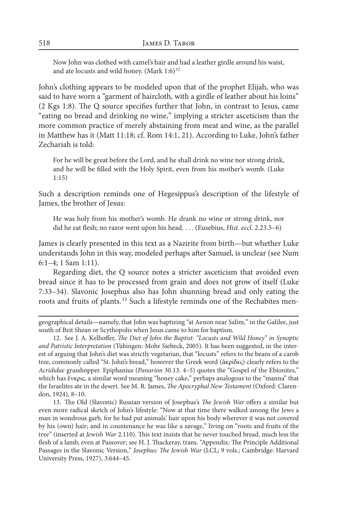Now John was clothed with camel's hair and had a leather girdle around his waist, and ate locusts and wild honey. (Mark 1:6) $12$ 

John's clothing appears to be modeled upon that of the prophet Elijah, who was said to have worn a "garment of haircloth, with a girdle of leather about his loins" (2 Kgs 1:8). The Q source specifies further that John, in contrast to Jesus, came "eating no bread and drinking no wine," implying a stricter asceticism than the more common practice of merely abstaining from meat and wine, as the parallel in Matthew has it (Matt 11:18; cf. Rom 14:1, 21). According to Luke, John's father Zechariah is told:

For he will be great before the Lord, and he shall drink no wine nor strong drink, and he will be filled with the Holy Spirit, even from his mother's womb. (Luke 1:15)

Such a description reminds one of Hegesippus's description of the lifestyle of James, the brother of Jesus:

He was holy from his mother's womb. He drank no wine or strong drink, nor did he eat flesh; no razor went upon his head. . . . (Eusebius, *Hist. eccl.* 2.23.5–6)

James is clearly presented in this text as a Nazirite from birth—but whether Luke understands John in this way, modeled perhaps after Samuel, is unclear (see Num 6:1–4; 1 Sam 1:11).

Regarding diet, the Q source notes a stricter asceticism that avoided even bread since it has to be processed from grain and does not grow of itself (Luke 7:33–34). Slavonic Josephus also has John shunning bread and only eating the roots and fruits of plants. 13 Such a lifestyle reminds one of the Rechabites men-

geographical details—namely, that John was baptizing "at Aenon near Salim," in the Galilee, just south of Beit Shean or Scythopolis when Jesus came to him for baptism.

12. See J. A. Kelhoffer, The Diet of John the Baptist: "Locusts and Wild Honey" in Synoptic and Patristic Interpretation (Tübingen: Mohr Siebeck, 2005). It has been suggested, in the interest of arguing that John's diet was strictly vegetarian, that "locusts" refers to the beans of a carob tree, commonly called "St. John's bread," however the Greek word (ἀκρίδες) clearly refers to the Acrididae grasshopper. Epiphanius (Panarion 30.13. 4–5) quotes the "Gospel of the Ebionites," which has ἔνκρις, a similar word meaning "honey cake," perhaps analogous to the "manna" that the Israelites ate in the desert. See M. R. James, The Apocryphal New Testament (Oxford: Clarendon, 1924), 8–10.

13. The Old (Slavonic) Russian version of Josephus's The Jewish War offers a similar but even more radical sketch of John's lifestyle: "Now at that time there walked among the Jews a man in wondrous garb, for he had put animals' hair upon his body wherever it was not covered by his (own) hair; and in countenance he was like a savage," living on "roots and fruits of the tree" (inserted at Jewish War 2.110). This text insists that he never touched bread, much less the flesh of a lamb, even at Passover; see H. J. Thackeray, trans. "Appendix: The Principle Additional Passages in the Slavonic Version," Josephus: The Jewish War (LCL; 9 vols.; Cambridge: Harvard University Press, 1927), 3:644–45.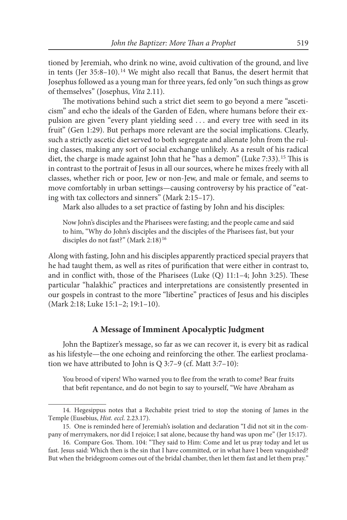tioned by Jeremiah, who drink no wine, avoid cultivation of the ground, and live in tents (Jer  $35:8-10$ ).<sup>14</sup> We might also recall that Banus, the desert hermit that Josephus followed as a young man for three years, fed only "on such things as grow of themselves" (Josephus, Vita 2.11).

The motivations behind such a strict diet seem to go beyond a mere "asceticism" and echo the ideals of the Garden of Eden, where humans before their expulsion are given "every plant yielding seed . . . and every tree with seed in its fruit" (Gen 1:29). But perhaps more relevant are the social implications. Clearly, such a strictly ascetic diet served to both segregate and alienate John from the ruling classes, making any sort of social exchange unlikely. As a result of his radical diet, the charge is made against John that he "has a demon" (Luke 7:33).<sup>15</sup> This is in contrast to the portrait of Jesus in all our sources, where he mixes freely with all classes, whether rich or poor, Jew or non-Jew, and male or female, and seems to move comfortably in urban settings—causing controversy by his practice of "eating with tax collectors and sinners" (Mark 2:15–17).

Mark also alludes to a set practice of fasting by John and his disciples:

Now John's disciples and the Pharisees were fasting; and the people came and said to him, "Why do John's disciples and the disciples of the Pharisees fast, but your disciples do not fast?" (Mark 2:18)<sup>16</sup>

Along with fasting, John and his disciples apparently practiced special prayers that he had taught them, as well as rites of purification that were either in contrast to, and in conflict with, those of the Pharisees (Luke (Q) 11:1–4; John 3:25). These particular "halakhic" practices and interpretations are consistently presented in our gospels in contrast to the more "libertine" practices of Jesus and his disciples (Mark 2:18; Luke 15:1–2; 19:1–10).

#### **A Message of Imminent Apocalyptic Judgment**

John the Baptizer's message, so far as we can recover it, is every bit as radical as his lifestyle—the one echoing and reinforcing the other. The earliest proclamation we have attributed to John is Q 3:7–9 (cf. Matt 3:7–10):

You brood of vipers! Who warned you to flee from the wrath to come? Bear fruits that befit repentance, and do not begin to say to yourself, "We have Abraham as

<sup>14.</sup> Hegesippus notes that a Rechabite priest tried to stop the stoning of James in the Temple (Eusebius, Hist. eccl. 2.23.17).

<sup>15.</sup> One is reminded here of Jeremiah's isolation and declaration "I did not sit in the company of merrymakers, nor did I rejoice; I sat alone, because thy hand was upon me" (Jer 15:17).

<sup>16.</sup> Compare Gos. Thom. 104: "They said to Him: Come and let us pray today and let us fast. Jesus said: Which then is the sin that I have committed, or in what have I been vanquished? But when the bridegroom comes out of the bridal chamber, then let them fast and let them pray."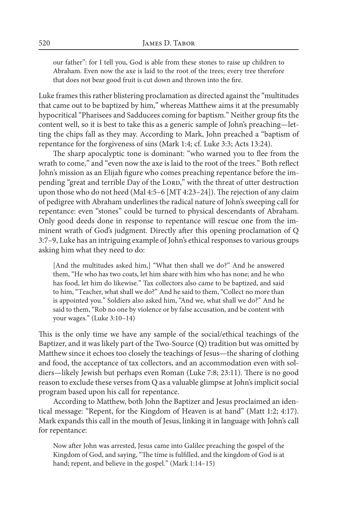our father": for I tell you, God is able from these stones to raise up children to Abraham. Even now the axe is laid to the root of the trees; every tree therefore that does not bear good fruit is cut down and thrown into the fire.

Luke frames this rather blistering proclamation as directed against the "multitudes that came out to be baptized by him," whereas Matthew aims it at the presumably hypocritical "Pharisees and Sadducees coming for baptism." Neither group fits the content well, so it is best to take this as a generic sample of John's preaching—letting the chips fall as they may. According to Mark, John preached a "baptism of repentance for the forgiveness of sins (Mark 1:4; cf. Luke 3:3; Acts 13:24).

The sharp apocalyptic tone is dominant: "who warned you to flee from the wrath to come," and "even now the axe is laid to the root of the trees." Both reflect John's mission as an Elijah figure who comes preaching repentance before the impending "great and terrible Day of the LORD," with the threat of utter destruction upon those who do not heed (Mal 4:5–6 [MT 4:23–24]). The rejection of any claim of pedigree with Abraham underlines the radical nature of John's sweeping call for repentance: even "stones" could be turned to physical descendants of Abraham. Only good deeds done in response to repentance will rescue one from the imminent wrath of God's judgment. Directly after this opening proclamation of Q 3:7–9, Luke has an intriguing example of John's ethical responses to various groups asking him what they need to do:

[And the multitudes asked him,] "What then shall we do?" And he answered them, "He who has two coats, let him share with him who has none; and he who has food, let him do likewise." Tax collectors also came to be baptized, and said to him, "Teacher, what shall we do?" And he said to them, "Collect no more than is appointed you." Soldiers also asked him, "And we, what shall we do?" And he said to them, "Rob no one by violence or by false accusation, and be content with your wages." (Luke 3:10–14)

This is the only time we have any sample of the social/ethical teachings of the Baptizer, and it was likely part of the Two-Source (Q) tradition but was omitted by Matthew since it echoes too closely the teachings of Jesus—the sharing of clothing and food, the acceptance of tax collectors, and an accommodation even with soldiers—likely Jewish but perhaps even Roman (Luke 7:8; 23:11). There is no good reason to exclude these verses from Q as a valuable glimpse at John's implicit social program based upon his call for repentance.

According to Matthew, both John the Baptizer and Jesus proclaimed an identical message: "Repent, for the Kingdom of Heaven is at hand" (Matt 1:2; 4:17). Mark expands this call in the mouth of Jesus, linking it in language with John's call for repentance:

Now after John was arrested, Jesus came into Galilee preaching the gospel of the Kingdom of God, and saying, "The time is fulfilled, and the kingdom of God is at hand; repent, and believe in the gospel." (Mark 1:14-15)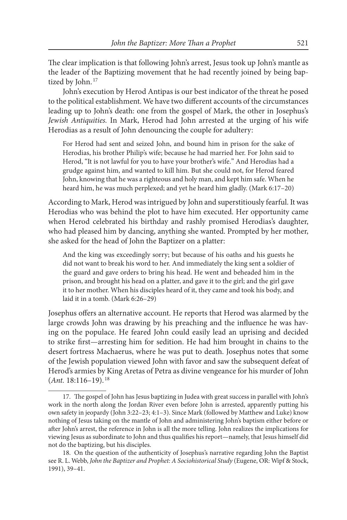The clear implication is that following John's arrest, Jesus took up John's mantle as the leader of the Baptizing movement that he had recently joined by being baptized by John.<sup>17</sup>

John's execution by Herod Antipas is our best indicator of the threat he posed to the political establishment. We have two different accounts of the circumstances leading up to John's death: one from the gospel of Mark, the other in Josephus's Jewish Antiquities. In Mark, Herod had John arrested at the urging of his wife Herodias as a result of John denouncing the couple for adultery:

For Herod had sent and seized John, and bound him in prison for the sake of Herodias, his brother Philip's wife; because he had married her. For John said to Herod, "It is not lawful for you to have your brother's wife." And Herodias had a grudge against him, and wanted to kill him. But she could not, for Herod feared John, knowing that he was a righteous and holy man, and kept him safe. When he heard him, he was much perplexed; and yet he heard him gladly. (Mark 6:17–20)

According to Mark, Herod was intrigued by John and superstitiously fearful. It was Herodias who was behind the plot to have him executed. Her opportunity came when Herod celebrated his birthday and rashly promised Herodias's daughter, who had pleased him by dancing, anything she wanted. Prompted by her mother, she asked for the head of John the Baptizer on a platter:

And the king was exceedingly sorry; but because of his oaths and his guests he did not want to break his word to her. And immediately the king sent a soldier of the guard and gave orders to bring his head. He went and beheaded him in the prison, and brought his head on a platter, and gave it to the girl; and the girl gave it to her mother. When his disciples heard of it, they came and took his body, and laid it in a tomb. (Mark 6:26–29)

Josephus offers an alternative account. He reports that Herod was alarmed by the large crowds John was drawing by his preaching and the influence he was having on the populace. He feared John could easily lead an uprising and decided to strike first—arresting him for sedition. He had him brought in chains to the desert fortress Machaerus, where he was put to death. Josephus notes that some of the Jewish population viewed John with favor and saw the subsequent defeat of Herod's armies by King Aretas of Petra as divine vengeance for his murder of John  $(Ant. 18:116-19).$ <sup>18</sup>

<sup>17.</sup> The gospel of John has Jesus baptizing in Judea with great success in parallel with John's work in the north along the Jordan River even before John is arrested, apparently putting his own safety in jeopardy (John 3:22–23; 4:1–3). Since Mark (followed by Matthew and Luke) know nothing of Jesus taking on the mantle of John and administering John's baptism either before or after John's arrest, the reference in John is all the more telling. John realizes the implications for viewing Jesus as subordinate to John and thus qualifies his report—namely, that Jesus himself did not do the baptizing, but his disciples.

<sup>18.</sup> On the question of the authenticity of Josephus's narrative regarding John the Baptist see R. L. Webb, John the Baptizer and Prophet: A Sociohistorical Study (Eugene, OR: Wipf & Stock, 1991), 39–41.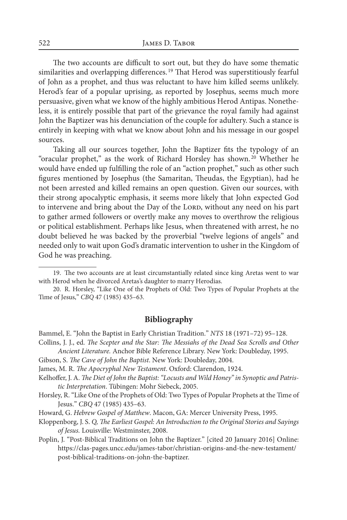The two accounts are difficult to sort out, but they do have some thematic similarities and overlapping differences.<sup>19</sup> That Herod was superstitiously fearful of John as a prophet, and thus was reluctant to have him killed seems unlikely. Herod's fear of a popular uprising, as reported by Josephus, seems much more persuasive, given what we know of the highly ambitious Herod Antipas. Nonetheless, it is entirely possible that part of the grievance the royal family had against John the Baptizer was his denunciation of the couple for adultery. Such a stance is entirely in keeping with what we know about John and his message in our gospel sources.

Taking all our sources together, John the Baptizer fits the typology of an "oracular prophet," as the work of Richard Horsley has shown.<sup>20</sup> Whether he would have ended up fulfilling the role of an "action prophet," such as other such figures mentioned by Josephus (the Samaritan, Theudas, the Egyptian), had he not been arrested and killed remains an open question. Given our sources, with their strong apocalyptic emphasis, it seems more likely that John expected God to intervene and bring about the Day of the LORD, without any need on his part to gather armed followers or overtly make any moves to overthrow the religious or political establishment. Perhaps like Jesus, when threatened with arrest, he no doubt believed he was backed by the proverbial "twelve legions of angels" and needed only to wait upon God's dramatic intervention to usher in the Kingdom of God he was preaching.

#### **Bibliography**

- Bammel, E. "John the Baptist in Early Christian Tradition." NTS 18 (1971–72) 95–128.
- Collins, J. J., ed. The Scepter and the Star: The Messiahs of the Dead Sea Scrolls and Other Ancient Literature. Anchor Bible Reference Library. New York: Doubleday, 1995.
- Gibson, S. The Cave of John the Baptist. New York: Doubleday, 2004.
- James, M. R. The Apocryphal New Testament. Oxford: Clarendon, 1924.
- Kelhoffer, J. A. The Diet of John the Baptist: "Locusts and Wild Honey" in Synoptic and Patristic Interpretation. Tübingen: Mohr Siebeck, 2005.
- Horsley, R. "Like One of the Prophets of Old: Two Types of Popular Prophets at the Time of Jesus." CBQ 47 (1985) 435–63.
- Howard, G. Hebrew Gospel of Matthew. Macon, GA: Mercer University Press, 1995.
- Kloppenborg, J. S. Q, The Earliest Gospel: An Introduction to the Original Stories and Sayings of Jesus. Louisville: Westminster, 2008.
- Poplin, J. "Post-Biblical Traditions on John the Baptizer." [cited 20 January 2016] Online: https://clas-pages.uncc.edu/james-tabor/christian-origins-and-the-new-testament/ post-biblical-traditions-on-john-the-baptizer.

<sup>19.</sup> The two accounts are at least circumstantially related since king Aretas went to war with Herod when he divorced Aretas's daughter to marry Herodias.

<sup>20.</sup> R. Horsley, "Like One of the Prophets of Old: Two Types of Popular Prophets at the Time of Jesus," CBQ 47 (1985) 435–63.